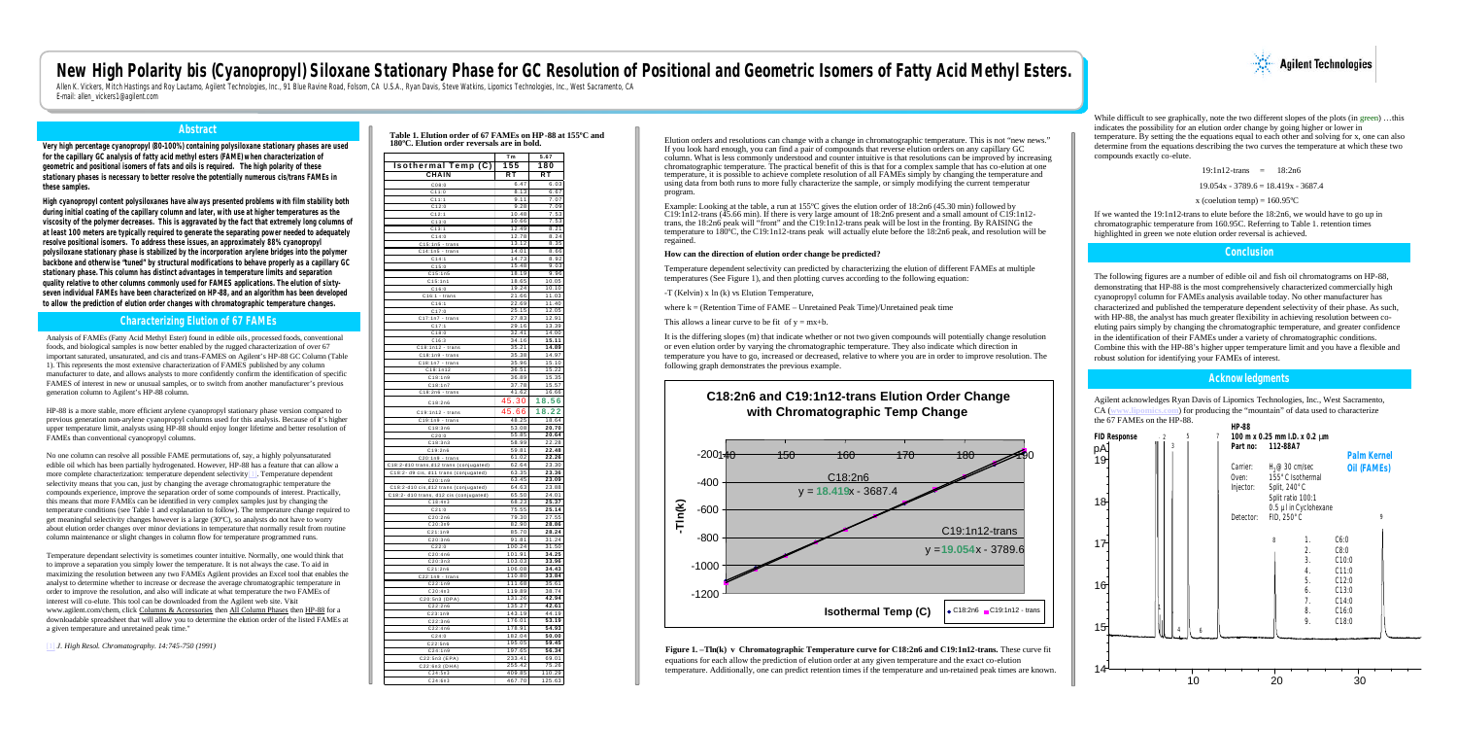## **New High Polarity bis (Cyanopropyl) Siloxane Stationary Phase for GC Resolution of Positional and Geometric Isomers of Fatty Acid Methyl Esters.**

Allen K. Vickers, Mitch Hastings and Roy Lautamo, Agilent Technologies, Inc., 91 Blue Ravine Road, Folsom, CA U.S.A., Ryan Davis, Steve Watkins, Lipomics Technologies, Inc., West Sacramento, CA U.S.A., Ryan Davis, Steve Wa E-mail: allen\_vickers1@agilent.com

#### **Abstract**

**Very high percentage cyanopropyl (80-100%) containing polysiloxane stationary phases are used for the capillary GC analysis of fatty acid methyl esters (FAME) when characterization of geometric and positional isomers of fats and oils is required. The high polarity of these stationary phases is necessary to better resolve the potentially numerous cis/trans FAMEs in these samples.** 

**High cyanopropyl content polysiloxanes have always presented problems with film stability both during initial coating of the capillary column and later, with use at higher temperatures as the viscosity of the polymer decreases. This is aggravated by the fact that extremely long columns of at least 100 meters are typically required to generate the separating power needed to adequately resolve positional isomers. To address these issues, an approximately 88% cyanopropyl polysiloxane stationary phase is stabilized by the incorporation arylene bridges into the polymer backbone and otherwise "tuned" by structural modifications to behave properly as a capillary GC stationary phase. This column has distinct advantages in temperature limits and separation quality relative to other columns commonly used for FAMES applications. The elution of sixtyseven individual FAMEs have been characterized on HP-88, and an algorithm has been developed to allow the prediction of elution order changes with chromatographic temperature changes.** 

#### **Characterizing Elution of 67 FAMEs**

Analysis of FAMEs (Fatty Acid Methyl Ester) found in edible oils, processed foods, conventional foods, and biological samples is now better enabled by the rugged characterization of over 67 important saturated, unsaturated, and cis and trans-FAMES on Agilent's HP-88 GC Column (Table 1). This represents the most extensive characterization of FAMES published by any column manufacturer to date, and allows analysts to more confidently confirm the identification of specific FAMES of interest in new or unusual samples, or to switch from another manufacturer's previous generation column to Agilent's HP-88 column.

HP-88 is a more stable, more efficient arylene cyanopropyl stationary phase version compared to previous generation non-arylene cyanopropyl columns used for this analysis. Because of it's higher upper temperature limit, analysts using HP-88 should enjoy longer lifetime and better resolution of FAMEs than conventional cyanopropyl columns.

No one column can resolve all possible FAME permutations of, say, a highly polyunsaturated edible oil which has been partially hydrogenated. However, HP-88 has a feature that can allow a more complete characterization: temperature dependent selectivity[1]. Temperature dependent selectivity means that you can, just by changing the average chromatographic temperature the compounds experience, improve the separation order of some compounds of interest. Practically, this means that more FAMEs can be identified in very complex samples just by changing the temperature conditions (see Table 1 and explanation to follow). The temperature change required to get meaningful selectivity changes however is a large (30ºC), so analysts do not have to worry about elution order changes over minor deviations in temperature that normally result from routine column maintenance or slight changes in column flow for temperature programmed runs.

Temperature dependant selectivity is sometimes counter intuitive. Normally, one would think that to improve a separation you simply lower the temperature. It is not always the case. To aid in maximizing the resolution between any two FAMEs Agilent provides an Excel tool that enables the analyst to determine whether to increase or decrease the average chromatographic temperature in order to improve the resolution, and also will indicate at what temperature the two FAMEs of interest will co-elute. This tool can be downloaded from the Agilent web site. Visit www.agilent.com/chem, click Columns & Accessories then All Column Phases then HP-88 for a downloadable spreadsheet that will allow you to determine the elution order of the listed FAMEs at a given temperature and unretained peak time."

While difficult to see graphically, note the two different slopes of the plots (in green) ...this indicates the possibility for an elution order change by going higher or lower in temperature. By setting the the equations equal to each other and solving for x, one can also determine from the equations describing the two curves the temperature at which these two compounds exactly co-elute.

[1] *J. High Resol. Chromatography. 14:745-750 (1991)*

#### **Table 1. Elution order of 67 FAMEs on HP-88 at 155ºC and 180ºC. Elution order reversals are in bold.**

Agilent acknowledges Ryan Davis of Lipomics Technologies, Inc., West Sacramento, CA (**www.lipomics.com**) for producing the "mountain" of data used to characterize  $\sqrt{7 + 1}$ 

| <b>Isothermal Temp (C)</b><br>CHAIN     | Τm<br>155<br>RT | 5.67<br>180<br>RТ |
|-----------------------------------------|-----------------|-------------------|
|                                         |                 |                   |
| CO8:0                                   | 6.47            | 6.03              |
| C11:0                                   | 8.13            | 6.67              |
| C11:1                                   | 9.11            | 7.07              |
| C12:0                                   | 9.28            | 7.09              |
| C12:1                                   | 10.48           | 7.53              |
| C13:0                                   | 10.66           | 7.53              |
| C13:1                                   | 12.49           | 8.21              |
| C14:0                                   | 12.78           | 8.24              |
| C15:1n5 - trans                         | 13.12           | 8.35              |
| $C14:1n5 - trans$                       | 14.01           | 8.66              |
| C14:1                                   | 14.73           | 8.92              |
| C15:0                                   | 15.48           | 9.03              |
| C15:1n5                                 | 18.19           | 9.96              |
| C15:1n1                                 | 18.65           | 10.05             |
| C16:0                                   | 19.24           | 10.10             |
| $C16:1 - trans$                         | 21.66           | 11.03             |
| C16:1                                   | 22.69           | 11.40             |
| C17:0                                   | 25.15           | 12.05             |
| $C17:1n7 - trans$                       | 27.83           | 12.91             |
| C17:1                                   | 29.16           | 13.39             |
| C18:0                                   | 32.41           | 14.00             |
| C16:3                                   | 34.16           | 15.11             |
| C18:1n12 - trans                        | 35.21           | 14.89             |
| C18:1n9 - trans                         | 35.38           | 14.97             |
| $C18:1n7 - trans$                       | 35.96           | 15.10             |
| C18:1n12                                | 36.51           | 15.22             |
| C18:1n9                                 | 36.89           | 15.35             |
|                                         | 37.78           | 15.57             |
| C18:1n7                                 | 41.62           |                   |
| $C18:2n6 - trans$                       |                 | 16.66             |
| C18:2n6                                 | 45.30           | 18.56             |
| $C19:1n12 - trans$                      | 45.66           | 18.22             |
| $C19:1n9$ - trans                       | 48.25           | 18.64             |
| C18:3n6                                 | 53.08           | 20.70             |
| C20:0                                   | 55.85           | 20.64             |
| C18:3n3                                 | 58.99           | 22.28             |
| C19:2n6                                 | 59.81           | 22.48             |
| $C20:1n9 - trans$                       | 61.02           | 22.26             |
| C18:2-d10 trans, d12 trans (conjugated) | 62.64           | 23.30             |
|                                         | 63.35           | 23.36             |
| C18:2-d9 cis, d11 trans (conjugated)    |                 |                   |
| C20:1n9                                 | 63.45<br>64.63  | 23.09             |
| C18:2-d10 cis,d12 trans (conjugated)    |                 | 23.88             |
| C18:2- d10 trans, d12 cis (conjugated)  | 65.50           | 24.01             |
| C18:4n3                                 | 68.23           | 25.37             |
| C21:0                                   | 75.55           | 25.14             |
| C20:2n6                                 | 79.30           | 27.55             |
| C20:3n9                                 | 82.90           | 28.86             |
| C21:1n9                                 | 85.70           | 28.24             |
| C20:3n6                                 | 91.81           | 31.24             |
| C22:0                                   | 100.24          | 31.50             |
| C20:4n6                                 | 101.91          | 34.25             |
| C20:3n3                                 | 103.03          | 33.96             |
| C21:2n6                                 | 106.08          | 34.43             |
| $C22:1n9 - trans$                       | 110.80          | 33.84             |
| C22:1n9                                 | 111.68          | 35.61             |
| C20:4n3                                 | 119.89          | 38.74             |
| C20:5n3 (DPA)                           | 131.26          | 42.94             |
| C22:2n6                                 | 135.27          | 42.61             |
| C23:1n9                                 | 143.19          | 44.19             |
| C22:3n6                                 | 176.01          | 53.19             |
| C22:4n6                                 | 178.91          | 54.93             |
| C24:0                                   | 182.04          | 50.00             |
| C22:5n6                                 | 195.05          | 59.45             |
|                                         | 197.65          | 56.34             |
| C24:1n9                                 |                 |                   |
| C22:5n3 (EPA)                           | 233.41          | 69.01             |
| C22:6n3 (DHA)                           | 255.42          | 75.26             |
| C24:5n3                                 | 409.85          | 110.29            |
| C24:6n3                                 | 467.70          | 125.63            |

### **C18:2n6 and C19:1n12-trans Elution Order Change with Chromatographic Temp Change**





# -800 -600 -400

Elution orders and resolutions can change with a change in chromatographic temperature. This is not "new news." If you look hard enough, you can find a pair of compounds that reverse elution orders on any capillary GC column. What is less commonly understood and counter intuitive is that resolutions can be improved by increasing chromatographic temperature. The practical benefit of this is that for a complex sample that has co-elution at one temperature, it is possible to achieve complete resolution of all FAMEs simply by changing the temperature and using data from both runs to more fully characterize the sample, or simply modifying the current temperatur

This allows a linear curve to be fit of  $y = mx+b$ .

program.

Example: Looking at the table, a run at 155ºC gives the elution order of 18:2n6 (45.30 min) followed by C19:1n12-trans (45.66 min). If there is very large amount of 18:2n6 present and a small amount of C19:1n12 trans, the 18:2n6 peak will "front" and the C19:1n12-trans peak will be lost in the fronting. By RAISING the temperature to 180ºC, the C19:1n12-trans peak will actually elute before the 18:2n6 peak, and resolution will be regained.

#### **How can the direction of elution order change be predicted?**

Temperature dependent selectivity can predicted by characterizing the elution of different FAMEs at multiple temperatures (See Figure 1), and then plotting curves according to the following equation:

-T (Kelvin) x ln (k) vs Elution Temperature,

where  $k = (Retention Time of FAME – Unretained Peak Time)/Unretained peak time)$ 

It is the differing slopes (m) that indicate whether or not two given compounds will potentially change resolution or even elution order by varying the chromatographic temperature. They also indicate which direction in temperature you have to go, increased or decreased, relative to where you are in order to improve resolution. The following graph demonstrates the previous example.

19:1n12-trans = 18:2n6

 $19.054x - 3789.6 = 18.419x - 3687.4$ 

x (coelution temp) =  $160.95^{\circ}$ C

If we wanted the 19:1n12-trans to elute before the 18:2n6, we would have to go up in chromatographic temperature from 160.95C. Referring to Table 1. retention times highlighted in green we note elution order reversal is achieved.

The following figures are a number of edible oil and fish oil chromatograms on HP-88, demonstrating that HP-88 is the most comprehensively characterized commercially high cyanopropyl column for FAMEs analysis available today. No other manufacturer has characterized and published the temperature dependent selectivity of their phase. As such, with HP-88, the analyst has much greater flexibility in achieving resolution between coeluting pairs simply by changing the chromatographic temperature, and greater confidence in the identification of their FAMEs under a variety of chromatographic conditions. Combine this with the HP-88's higher upper temperature limit and you have a flexible and robust solution for identifying your FAMEs of interest.

#### **Conclusion**

#### **Acknowledgments**

**Figure 1. –Tln(k) v Chromatographic Temperature curve for C18:2n6 and C19:1n12-trans.** These curve fit equations for each allow the prediction of elution order at any given temperature and the exact co-elution temperature. Additionally, one can predict retention times if the temperature and un-retained peak times are known.

| <b>FID Response</b><br>pA | 5<br>$\cdot$ 2<br>3 | 7 | <b>HP-88</b><br>100 m x 0.25 mm I.D. x 0.2 mm<br>Part no: | 112-88A7                                                                           |                            | <b>Palm Kernel</b>                      |
|---------------------------|---------------------|---|-----------------------------------------------------------|------------------------------------------------------------------------------------|----------------------------|-----------------------------------------|
| 19<br>18                  |                     |   | Carrier:<br>Oven:<br>Injector:                            | H <sub>2</sub> @30 cm/sec<br>155°C Isothermal<br>Split, 240°C<br>Split ratio 100:1 | 0.5 µl in Cyclohexane      | <b>Oil (FAMES)</b>                      |
|                           |                     |   | Detector:                                                 | FID, 250°C                                                                         |                            | 9                                       |
| 17<br>16                  |                     |   |                                                           | 8                                                                                  | 1.<br>2.<br>3.<br>4.<br>5. | C6:0<br>C8:0<br>C10:0<br>C11:0<br>C12:0 |
| 15                        | 4                   | 6 |                                                           |                                                                                    | 6.<br>7.<br>8.<br>9.       | C13:0<br>C14:0<br>C16:0<br>C18:0        |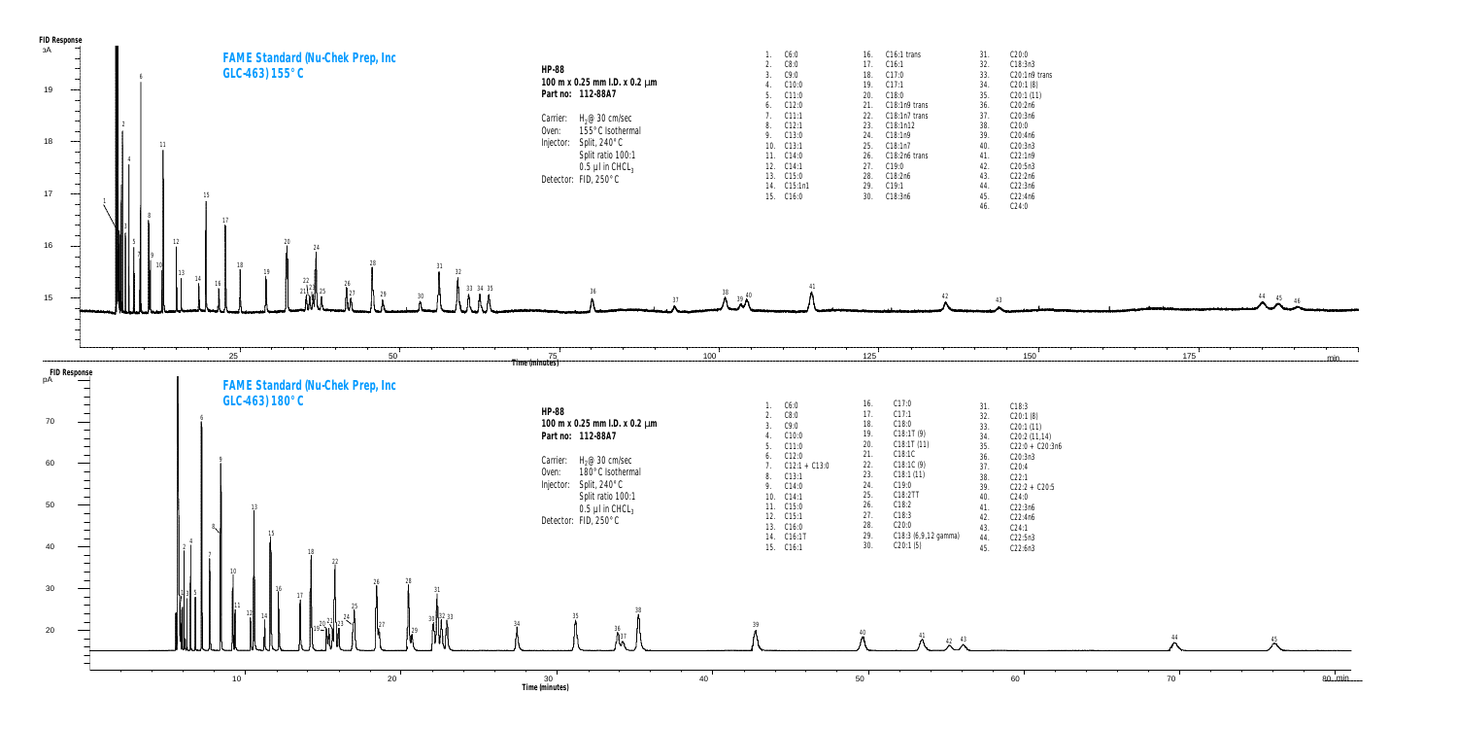

| 1.  | C6:0    | 16. | $C16:1$ trans   | 31.       | C20:0                      |
|-----|---------|-----|-----------------|-----------|----------------------------|
| 2.  | C8:0    | 17. | C16:1           | 32.       | C18:3n3                    |
| 3.  | C9:0    | 18. | C17:0           | 33.       | C <sub>20</sub> :1n9 tran: |
| 4.  | C10:0   | 19. | C17:1           | 34.       | C20:1(8)                   |
| 5.  | C11:0   | 20. | C18:0           | 35.       | C20:1(11)                  |
| 6.  | C12:0   | 21. | $C18:1n9$ trans | 36.       | C20:2n6                    |
| 7.  | C11:1   | 22. | C18:1n7 trans   | 37.       | C20:3n6                    |
| 8.  | C12:1   | 23. | C18:1n12        | 38.       | C20:0                      |
| 9.  | C13:0   | 24. | C18:1n9         | 39.       | C20:4n6                    |
| 10. | C13:1   | 25. | C18:1n7         | 40.       | C20:3n3                    |
| 11. | C14:0   | 26. | $C18:2n6$ trans | 41.       | C22:1n9                    |
| 12. | C14:1   | 27. | C19:0           | 42.       | C20:5n3                    |
| 13. | C15:0   | 28. | C18:2n6         | 43.       | C22:2n6                    |
| 14. | C15:1n1 | 29. | C19:1           | 44.       | C22:3n6                    |
| 15. | C16:0   | 30. | C18:3n6         | 45.       | C22:4n6                    |
|     |         |     |                 | $\Lambda$ | ∩∩∩                        |

| 1.  | C6:0            | 16. | C17:0                | 31. | C18:3             |
|-----|-----------------|-----|----------------------|-----|-------------------|
| 2.  | C8:0            | 17. | C17:1                | 32. | C20:1(8)          |
| 3.  | C9:0            | 18. | C18:0                | 33. | C20:1(11)         |
| 4.  | C10:0           | 19. | C18:1T(9)            | 34. | C20:2(11,14)      |
| 5.  | C11:0           | 20. | C18:1T(11)           | 35. | $C22:0 + C20:3n6$ |
| 6.  | C12:0           | 21. | C18:1C               | 36. | C20:3n3           |
| 7.  | $C12:1 + C13:0$ | 22. | C18:1C(9)            | 37. | C20:4             |
| 8.  | C13:1           | 23. | C18:1(11)            | 38. | C22:1             |
| 9.  | C14:0           | 24. | C19:0                | 39. | $C22:2 + C20:5$   |
| 10. | C14:1           | 25. | C18:2TT              | 40. | C24:0             |
| 11. | C15:0           | 26. | C18:2                | 41. | C22:3n6           |
| 12. | C15:1           | 27. | C18:3                | 42. | C22:4n6           |
| 13. | C16:0           | 28. | C20:0                | 43. | C24:1             |
| 14. | C16:1T          | 29. | C18:3 (6,9,12 gamma) | 44. | C22:5n3           |
| 15. | C16:1           | 30. | C20:1(5)             | 45. | C22:6n3           |